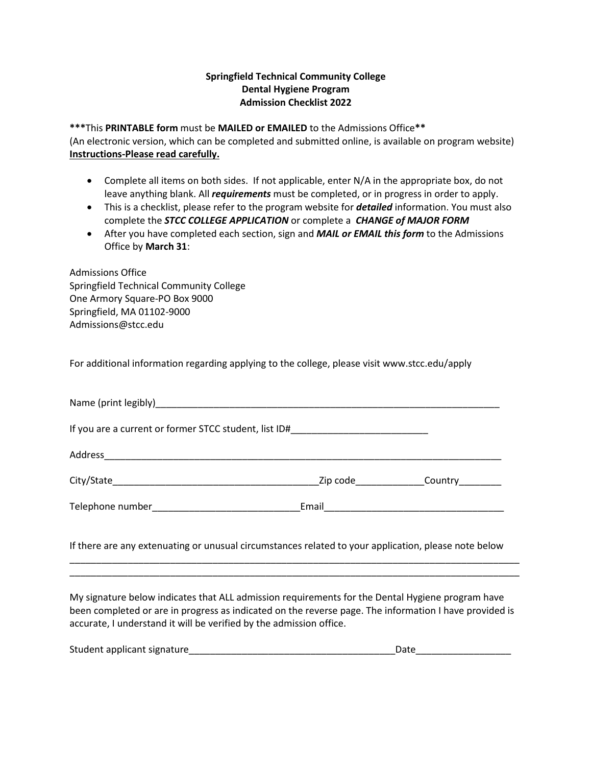## **Springfield Technical Community College Dental Hygiene Program Admission Checklist 2022**

**\*\*\***This **PRINTABLE form** must be **MAILED or EMAILED** to the Admissions Office**\*\***  (An electronic version, which can be completed and submitted online, is available on program website) **Instructions-Please read carefully.**

- Complete all items on both sides. If not applicable, enter N/A in the appropriate box, do not leave anything blank. All *requirements* must be completed, or in progress in order to apply.
- This is a checklist, please refer to the program website for *detailed* information. You must also complete the *STCC COLLEGE APPLICATION* or complete a *CHANGE of MAJOR FORM*
- After you have completed each section, sign and *MAIL or EMAIL this form* to the Admissions Office by **March 31**:

| <b>Admissions Office</b>                |
|-----------------------------------------|
| Springfield Technical Community College |
| One Armory Square-PO Box 9000           |
| Springfield, MA 01102-9000              |
| Admissions@stcc.edu                     |

For additional information regarding applying to the college, please visit www.stcc.edu/apply

| If you are a current or former STCC student, list ID#___________________________ |                                                        |                        |  |  |  |  |
|----------------------------------------------------------------------------------|--------------------------------------------------------|------------------------|--|--|--|--|
|                                                                                  |                                                        |                        |  |  |  |  |
|                                                                                  | Zip code <b>All According to the Contract of Times</b> | Country <u>Country</u> |  |  |  |  |
|                                                                                  |                                                        |                        |  |  |  |  |
|                                                                                  |                                                        |                        |  |  |  |  |

If there are any extenuating or unusual circumstances related to your application, please note below

\_\_\_\_\_\_\_\_\_\_\_\_\_\_\_\_\_\_\_\_\_\_\_\_\_\_\_\_\_\_\_\_\_\_\_\_\_\_\_\_\_\_\_\_\_\_\_\_\_\_\_\_\_\_\_\_\_\_\_\_\_\_\_\_\_\_\_\_\_\_\_\_\_\_\_\_\_\_\_\_\_\_\_\_\_ \_\_\_\_\_\_\_\_\_\_\_\_\_\_\_\_\_\_\_\_\_\_\_\_\_\_\_\_\_\_\_\_\_\_\_\_\_\_\_\_\_\_\_\_\_\_\_\_\_\_\_\_\_\_\_\_\_\_\_\_\_\_\_\_\_\_\_\_\_\_\_\_\_\_\_\_\_\_\_\_\_\_\_\_\_

My signature below indicates that ALL admission requirements for the Dental Hygiene program have been completed or are in progress as indicated on the reverse page. The information I have provided is accurate, I understand it will be verified by the admission office.

| Student applicant signature |  |
|-----------------------------|--|
|-----------------------------|--|